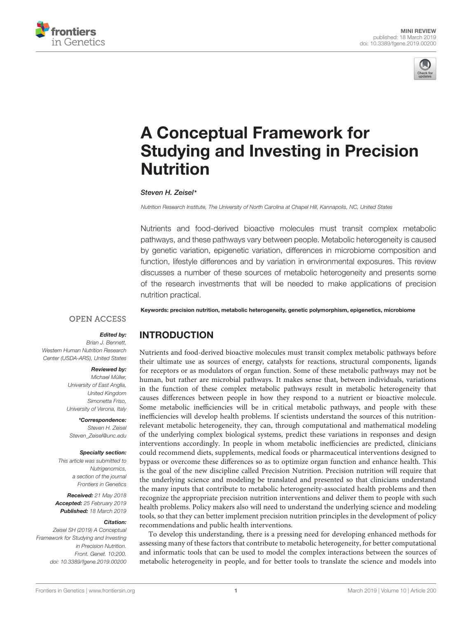



# A Conceptual Framework for [Studying and Investing in Precision](https://www.frontiersin.org/articles/10.3389/fgene.2019.00200/full) Nutrition

### [Steven H. Zeisel](http://loop.frontiersin.org/people/20239/overview)\*

Nutrition Research Institute, The University of North Carolina at Chapel Hill, Kannapolis, NC, United States

Nutrients and food-derived bioactive molecules must transit complex metabolic pathways, and these pathways vary between people. Metabolic heterogeneity is caused by genetic variation, epigenetic variation, differences in microbiome composition and function, lifestyle differences and by variation in environmental exposures. This review discusses a number of these sources of metabolic heterogeneity and presents some of the research investments that will be needed to make applications of precision nutrition practical.

### **OPEN ACCESS**

### Edited by:

Brian J. Bennett, Western Human Nutrition Research Center (USDA-ARS), United States

### Reviewed by:

Michael Müller, University of East Anglia, United Kingdom Simonetta Friso, University of Verona, Italy

\*Correspondence: Steven H. Zeisel Steven\_Zeisel@unc.edu

#### Specialty section:

This article was submitted to Nutrigenomics, a section of the journal Frontiers in Genetics

Received: 21 May 2018 Accepted: 25 February 2019 Published: 18 March 2019

#### Citation:

Zeisel SH (2019) A Conceptual Framework for Studying and Investing in Precision Nutrition. Front. Genet. 10:200. doi: [10.3389/fgene.2019.00200](https://doi.org/10.3389/fgene.2019.00200)

Keywords: precision nutrition, metabolic heterogeneity, genetic polymorphism, epigenetics, microbiome

# INTRODUCTION

Nutrients and food-derived bioactive molecules must transit complex metabolic pathways before their ultimate use as sources of energy, catalysts for reactions, structural components, ligands for receptors or as modulators of organ function. Some of these metabolic pathways may not be human, but rather are microbial pathways. It makes sense that, between individuals, variations in the function of these complex metabolic pathways result in metabolic heterogeneity that causes differences between people in how they respond to a nutrient or bioactive molecule. Some metabolic inefficiencies will be in critical metabolic pathways, and people with these inefficiencies will develop health problems. If scientists understand the sources of this nutritionrelevant metabolic heterogeneity, they can, through computational and mathematical modeling of the underlying complex biological systems, predict these variations in responses and design interventions accordingly. In people in whom metabolic inefficiencies are predicted, clinicians could recommend diets, supplements, medical foods or pharmaceutical interventions designed to bypass or overcome these differences so as to optimize organ function and enhance health. This is the goal of the new discipline called Precision Nutrition. Precision nutrition will require that the underlying science and modeling be translated and presented so that clinicians understand the many inputs that contribute to metabolic heterogeneity-associated health problems and then recognize the appropriate precision nutrition interventions and deliver them to people with such health problems. Policy makers also will need to understand the underlying science and modeling tools, so that they can better implement precision nutrition principles in the development of policy recommendations and public health interventions.

To develop this understanding, there is a pressing need for developing enhanced methods for assessing many of these factors that contribute to metabolic heterogeneity, for better computational and informatic tools that can be used to model the complex interactions between the sources of metabolic heterogeneity in people, and for better tools to translate the science and models into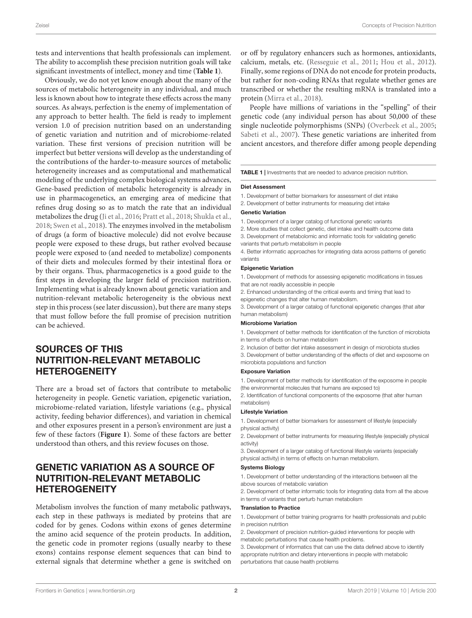tests and interventions that health professionals can implement. The ability to accomplish these precision nutrition goals will take significant investments of intellect, money and time (**[Table 1](#page-1-0)**).

Obviously, we do not yet know enough about the many of the sources of metabolic heterogeneity in any individual, and much less is known about how to integrate these effects across the many sources. As always, perfection is the enemy of implementation of any approach to better health. The field is ready to implement version 1.0 of precision nutrition based on an understanding of genetic variation and nutrition and of microbiome-related variation. These first versions of precision nutrition will be imperfect but better versions will develop as the understanding of the contributions of the harder-to-measure sources of metabolic heterogeneity increases and as computational and mathematical modeling of the underlying complex biological systems advances, Gene-based prediction of metabolic heterogeneity is already in use in pharmacogenetics, an emerging area of medicine that refines drug dosing so as to match the rate that an individual metabolizes the drug [\(Ji et al.,](#page-8-0) [2016;](#page-8-0) [Pratt et al.,](#page-9-0) [2018;](#page-9-0) [Shukla et al.,](#page-9-1) [2018;](#page-9-1) [Swen et al.,](#page-9-2) [2018\)](#page-9-2). The enzymes involved in the metabolism of drugs (a form of bioactive molecule) did not evolve because people were exposed to these drugs, but rather evolved because people were exposed to (and needed to metabolize) components of their diets and molecules formed by their intestinal flora or by their organs. Thus, pharmacogenetics is a good guide to the first steps in developing the larger field of precision nutrition. Implementing what is already known about genetic variation and nutrition-relevant metabolic heterogeneity is the obvious next step in this process (see later discussion), but there are many steps that must follow before the full promise of precision nutrition can be achieved.

# SOURCES OF THIS NUTRITION-RELEVANT METABOLIC **HETEROGENEITY**

There are a broad set of factors that contribute to metabolic heterogeneity in people. Genetic variation, epigenetic variation, microbiome-related variation, lifestyle variations (e.g., physical activity, feeding behavior differences), and variation in chemical and other exposures present in a person's environment are just a few of these factors (**[Figure 1](#page-2-0)**). Some of these factors are better understood than others, and this review focuses on those.

# GENETIC VARIATION AS A SOURCE OF NUTRITION-RELEVANT METABOLIC **HETEROGENEITY**

Metabolism involves the function of many metabolic pathways, each step in these pathways is mediated by proteins that are coded for by genes. Codons within exons of genes determine the amino acid sequence of the protein products. In addition, the genetic code in promoter regions (usually nearby to these exons) contains response element sequences that can bind to external signals that determine whether a gene is switched on

or off by regulatory enhancers such as hormones, antioxidants, calcium, metals, etc. [\(Resseguie et al.,](#page-9-3) [2011;](#page-9-3) [Hou et al.,](#page-8-1) [2012\)](#page-8-1). Finally, some regions of DNA do not encode for protein products, but rather for non-coding RNAs that regulate whether genes are transcribed or whether the resulting mRNA is translated into a protein [\(Mirra et al.,](#page-9-4) [2018\)](#page-9-4).

People have millions of variations in the "spelling" of their genetic code (any individual person has about 50,000 of these single nucleotide polymorphisms (SNPs) [\(Overbeek et al.,](#page-9-5) [2005;](#page-9-5) [Sabeti et al.,](#page-9-6) [2007\)](#page-9-6). These genetic variations are inherited from ancient ancestors, and therefore differ among people depending

<span id="page-1-0"></span>TABLE 1 | Investments that are needed to advance precision nutrition.

#### Diet Assessment

- 1. Development of better biomarkers for assessment of diet intake
- 2. Development of better instruments for measuring diet intake

#### Genetic Variation

- 1. Development of a larger catalog of functional genetic variants
- 2. More studies that collect genetic, diet intake and health outcome data
- 3. Development of metabolomic and informatic tools for validating genetic
- variants that perturb metabolism in people

4. Better informatic approaches for integrating data across patterns of genetic variants

#### Epigenetic Variation

- 1. Development of methods for assessing epigenetic modifications in tissues that are not readily accessible in people
- 2. Enhanced understanding of the critical events and timing that lead to epigenetic changes that alter human metabolism.

3. Development of a larger catalog of functional epigenetic changes (that alter human metabolism)

### Microbiome Variation

- 1. Development of better methods for identification of the function of microbiota in terms of effects on human metabolism
- 2. Inclusion of better diet intake assessment in design of microbiota studies
- 3. Development of better understanding of the effects of diet and exposome on microbiota populations and function

#### Exposure Variation

1. Development of better methods for identification of the exposome in people (the environmental molecules that humans are exposed to)

2. Identification of functional components of the exposome (that alter human metabolism)

#### Lifestyle Variation

1. Development of better biomarkers for assessment of lifestyle (especially physical activity)

2. Development of better instruments for measuring lifestyle (especially physical activity)

3. Development of a larger catalog of functional lifestyle variants (especially physical activity) in terms of effects on human metabolism.

#### Systems Biology

- 1. Development of better understanding of the interactions between all the above sources of metabolic variation
- 2. Development of better informatic tools for integrating data from all the above

in terms of variants that perturb human metabolism

### Translation to Practice

1. Development of better training programs for health professionals and public in precision nutrition

- 2. Development of precision nutrition-guided interventions for people with metabolic perturbations that cause health problems.
- 3. Development of informatics that can use the data defined above to identify appropriate nutrition and dietary interventions in people with metabolic perturbations that cause health problems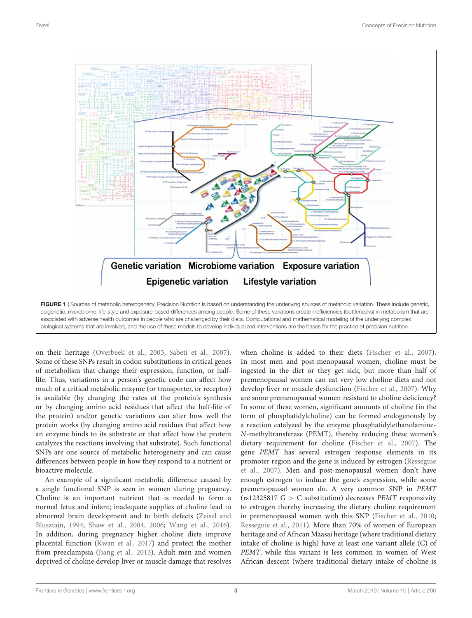

<span id="page-2-0"></span>on their heritage [\(Overbeek et al.,](#page-9-5) [2005;](#page-9-5) [Sabeti et al.,](#page-9-6) [2007\)](#page-9-6). Some of these SNPs result in codon substitutions in critical genes of metabolism that change their expression, function, or halflife. Thus, variations in a person's genetic code can affect how much of a critical metabolic enzyme (or transporter, or receptor) is available (by changing the rates of the protein's synthesis or by changing amino acid residues that affect the half-life of the protein) and/or genetic variations can alter how well the protein works (by changing amino acid residues that affect how an enzyme binds to its substrate or that affect how the protein catalyzes the reactions involving that substrate). Such functional SNPs are one source of metabolic heterogeneity and can cause differences between people in how they respond to a nutrient or bioactive molecule.

An example of a significant metabolic difference caused by a single functional SNP is seen in women during pregnancy. Choline is an important nutrient that is needed to form a normal fetus and infant; inadequate supplies of choline lead to abnormal brain development and to birth defects [\(Zeisel and](#page-10-0) [Blusztajn,](#page-10-0) [1994;](#page-10-0) [Shaw et al.,](#page-9-7) [2004,](#page-9-7) [2006;](#page-9-8) [Wang et al.,](#page-10-1) [2016\)](#page-10-1). In addition, during pregnancy higher choline diets improve placental function [\(Kwan et al.,](#page-8-2) [2017\)](#page-8-2) and protect the mother from preeclampsia [\(Jiang et al.,](#page-8-3) [2013\)](#page-8-3). Adult men and women deprived of choline develop liver or muscle damage that resolves

when choline is added to their diets [\(Fischer et al.,](#page-8-4) [2007\)](#page-8-4). In most men and post-menopausal women, choline must be ingested in the diet or they get sick, but more than half of premenopausal women can eat very low choline diets and not develop liver or muscle dysfunction [\(Fischer et al.,](#page-8-4) [2007\)](#page-8-4). Why are some premenopausal women resistant to choline deficiency? In some of these women, significant amounts of choline (in the form of phosphatidylcholine) can be formed endogenously by a reaction catalyzed by the enzyme phosphatidylethanolamine-N-methyltransferase (PEMT), thereby reducing these women's dietary requirement for choline [\(Fischer et al.,](#page-8-4) [2007\)](#page-8-4). The gene PEMT has several estrogen response elements in its promoter region and the gene is induced by estrogen [\(Resseguie](#page-9-9) [et al.,](#page-9-9) [2007\)](#page-9-9). Men and post-menopausal women don't have enough estrogen to induce the gene's expression, while some premenopausal women do. A very common SNP in PEMT (rs12325817 G > C substitution) decreases  $PEMT$  responsivity to estrogen thereby increasing the dietary choline requirement in premenopausal women with this SNP [\(Fischer et al.,](#page-8-5) [2010;](#page-8-5) [Resseguie et al.,](#page-9-3) [2011\)](#page-9-3). More than 70% of women of European heritage and of African Maasai heritage (where traditional dietary intake of choline is high) have at least one variant allele (C) of PEMT, while this variant is less common in women of West African descent (where traditional dietary intake of choline is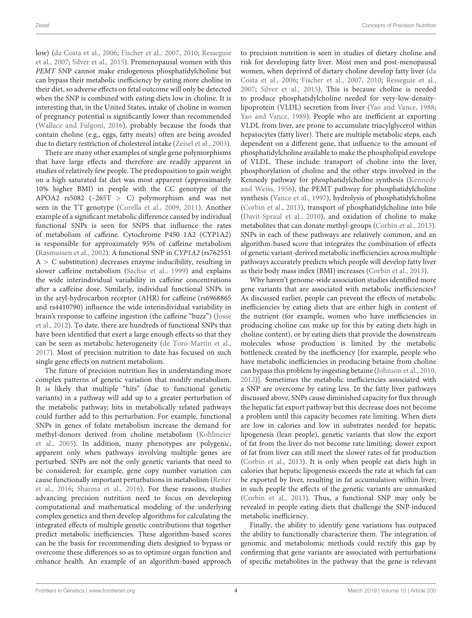low) [\(da Costa et al.,](#page-7-0) [2006;](#page-7-0) [Fischer et al.,](#page-8-4) [2007,](#page-8-4) [2010;](#page-8-5) [Resseguie](#page-9-9) [et al.,](#page-9-9) [2007;](#page-9-9) [Silver et al.,](#page-9-10) [2015\)](#page-9-10). Premenopausal women with this PEMT SNP cannot make endogenous phosphatidylcholine but can bypass their metabolic inefficiency by eating more choline in their diet, so adverse effects on fetal outcome will only be detected when the SNP is combined with eating diets low in choline. It is interesting that, in the United States, intake of choline in women of pregnancy potential is significantly lower than recommended [\(Wallace and Fulgoni,](#page-10-2) [2016\)](#page-10-2), probably because the foods that contain choline (e.g., eggs, fatty meats) often are being avoided due to dietary restriction of cholesterol intake [\(Zeisel et al.,](#page-10-3) [2003\)](#page-10-3).

There are many other examples of single gene polymorphisms that have large effects and therefore are readily apparent in studies of relatively few people. The predisposition to gain weight on a high saturated fat diet was most apparent (approximately 10% higher BMI) in people with the CC genotype of the APOA2 rs5082 (–265T > C) polymorphism and was not seen in the TT genotype [\(Corella et al.,](#page-7-1) [2009,](#page-7-1) [2011\)](#page-7-2). Another example of a significant metabolic difference caused by individual functional SNPs is seen for SNPS that influence the rates of metabolism of caffeine. Cytochrome P450 1A2 (CYP1A2) is responsible for approximately 95% of caffeine metabolism [\(Rasmussen et al.,](#page-9-11) [2002\)](#page-9-11). A functional SNP in CYP1A2 (rs762551 A > C substitution) decreases enzyme inducibility, resulting in slower caffeine metabolism [\(Sachse et al.,](#page-9-12) [1999\)](#page-9-12) and explains the wide interindividual variability in caffeine concentrations after a caffeine dose. Similarly, individual functional SNPs in in the aryl-hydrocarbon receptor (AHR) for caffeine (rs6968865 and rs4410790) influence the wide interindividual variability in brain's response to caffeine ingestion (the caffeine "buzz") [\(Josse](#page-8-6) [et al.,](#page-8-6) [2012\)](#page-8-6). To date, there are hundreds of functional SNPs that have been identified that exert a large enough effects so that they can be seen as metabolic heterogeneity [\(de Toro-Martin et al.,](#page-8-7) [2017\)](#page-8-7). Most of precision nutrition to date has focused on such single gene effects on nutrient metabolism.

The future of precision nutrition lies in understanding more complex patterns of genetic variation that modify metabolism. It is likely that multiple "hits" (due to functional genetic variants) in a pathway will add up to a greater perturbation of the metabolic pathway; hits in metabolically related pathways could further add to this perturbation. For example, functional SNPs in genes of folate metabolism increase the demand for methyl-donors derived from choline metabolism [\(Kohlmeier](#page-8-8) [et al.,](#page-8-8) [2005\)](#page-8-8). In addition, many phenotypes are polygenic, apparent only when pathways involving multiple genes are perturbed. SNPs are not the only genetic variants that need to be considered; for example, gene copy number variation can cause functionally important perturbations in metabolism [\(Reiter](#page-9-13) [et al.,](#page-9-13) [2016;](#page-9-13) [Sharma et al.,](#page-9-14) [2016\)](#page-9-14). For these reasons, studies advancing precision nutrition need to focus on developing computational and mathematical modeling of the underlying complex genetics and then develop algorithms for calculating the integrated effects of multiple genetic contributions that together predict metabolic inefficiencies. These algorithm-based scores can be the basis for recommending diets designed to bypass or overcome these differences so as to optimize organ function and enhance health. An example of an algorithm-based approach

to precision nutrition is seen in studies of dietary choline and risk for developing fatty liver. Most men and post-menopausal women, when deprived of dietary choline develop fatty liver [\(da](#page-7-0) [Costa et al.,](#page-7-0) [2006;](#page-7-0) [Fischer et al.,](#page-8-4) [2007,](#page-8-4) [2010;](#page-8-5) [Resseguie et al.,](#page-9-9) [2007;](#page-9-9) [Silver et al.,](#page-9-10) [2015\)](#page-9-10). This is because choline is needed to produce phosphatidylcholine needed for very-low-densitylipoprotein (VLDL) secretion from liver [\(Yao and Vance,](#page-10-4) [1988;](#page-10-4) [Yao and Vance,](#page-10-5) [1989\)](#page-10-5). People who are inefficient at exporting VLDL from liver, are prone to accumulate triacylglycerol within hepatocytes (fatty liver). There are multiple metabolic steps, each dependent on a different gene, that influence to the amount of phosphatidylcholine available to make the phospholipid envelope of VLDL. These include: transport of choline into the liver, phosphorylation of choline and the other steps involved in the Kennedy pathway for phosphatidylcholine synthesis [\(Kennedy](#page-8-9) [and Weiss,](#page-8-9) [1956\)](#page-8-9), the PEMT pathway for phosphatidylcholine synthesis [\(Vance et al.,](#page-9-15) [1997\)](#page-9-15), hydrolysis of phosphatidylcholine [\(Corbin et al.,](#page-7-3) [2013\)](#page-7-3), transport of phosphatidylcholine into bile [\(Davit-Spraul et al.,](#page-8-10) [2010\)](#page-8-10), and oxidation of choline to make metabolites that can donate methyl-groups [\(Corbin et al.,](#page-7-3) [2013\)](#page-7-3). SNPs in each of these pathways are relatively common, and an algorithm-based score that integrates the combination of effects of genetic variant-derived metabolic inefficiencies across multiple pathways accurately predicts which people will develop fatty liver as their body mass index (BMI) increases [\(Corbin et al.,](#page-7-3) [2013\)](#page-7-3).

Why haven't genome-wide association studies identified more gene variants that are associated with metabolic inefficiencies? As discussed earlier, people can prevent the effects of metabolic inefficiencies by eating diets that are either high in content of the nutrient (for example, women who have inefficiencies in producing choline can make up for this by eating diets high in choline content), or by eating diets that provide the downstream molecules whose production is limited by the metabolic bottleneck created by the inefficiency [for example, people who have metabolic inefficiencies in producing betaine from choline can bypass this problem by ingesting betaine [\(Johnson et al.,](#page-8-11) [2010,](#page-8-11) [2012\)](#page-8-12)]. Sometimes the metabolic inefficiencies associated with a SNP are overcome by eating less. In the fatty liver pathways discussed above, SNPs cause diminished capacity for flux through the hepatic fat export pathway but this decrease does not become a problem until this capacity becomes rate limiting. When diets are low in calories and low in substrates needed for hepatic lipogenesis (lean people), genetic variants that slow the export of fat from the liver do not become rate limiting; slower export of fat from liver can still meet the slower rates of fat production [\(Corbin et al.,](#page-7-3) [2013\)](#page-7-3). It is only when people eat diets high in calories that hepatic lipogenesis exceeds the rate at which fat can be exported by liver, resulting in fat accumulation within liver; in such people the effects of the genetic variants are unmasked [\(Corbin et al.,](#page-7-3) [2013\)](#page-7-3). Thus, a functional SNP may only be revealed in people eating diets that challenge the SNP-induced metabolic inefficiency.

Finally, the ability to identify gene variations has outpaced the ability to functionally characterize them. The integration of genomic and metabolomic methods could rectify this gap by confirming that gene variants are associated with perturbations of specific metabolites in the pathway that the gene is relevant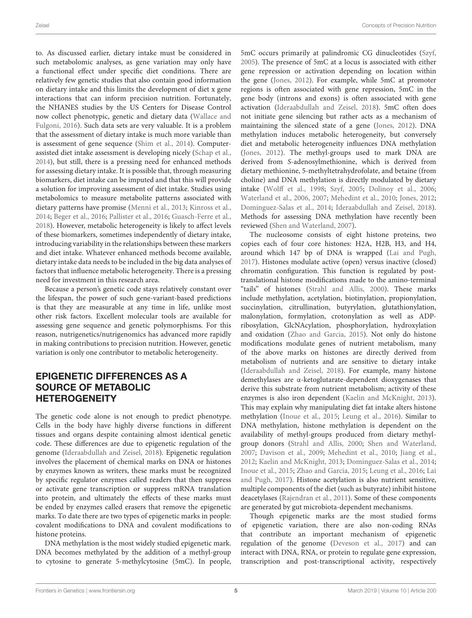to. As discussed earlier, dietary intake must be considered in such metabolomic analyses, as gene variation may only have a functional effect under specific diet conditions. There are relatively few genetic studies that also contain good information on dietary intake and this limits the development of diet x gene interactions that can inform precision nutrition. Fortunately, the NHANES studies by the US Centers for Disease Control now collect phenotypic, genetic and dietary data [\(Wallace and](#page-10-2) [Fulgoni,](#page-10-2) [2016\)](#page-10-2). Such data sets are very valuable. It is a problem that the assessment of dietary intake is much more variable than is assessment of gene sequence [\(Shim et al.,](#page-9-16) [2014\)](#page-9-16). Computerassisted diet intake assessment is developing nicely [\(Schap et al.,](#page-9-17) [2014\)](#page-9-17), but still, there is a pressing need for enhanced methods for assessing dietary intake. It is possible that, through measuring biomarkers, diet intake can be imputed and that this will provide a solution for improving assessment of diet intake. Studies using metabolomics to measure metabolite patterns associated with dietary patterns have promise [\(Menni et al.,](#page-9-18) [2013;](#page-9-18) [Kinross et al.,](#page-8-13) [2014;](#page-8-13) [Beger et al.,](#page-7-4) [2016;](#page-7-4) [Pallister et al.,](#page-9-19) [2016;](#page-9-19) [Guasch-Ferre et al.,](#page-8-14) [2018\)](#page-8-14). However, metabolic heterogeneity is likely to affect levels of these biomarkers, sometimes independently of dietary intake, introducing variability in the relationships between these markers and diet intake. Whatever enhanced methods become available, dietary intake data needs to be included in the big data analyses of factors that influence metabolic heterogeneity. There is a pressing need for investment in this research area.

Because a person's genetic code stays relatively constant over the lifespan, the power of such gene-variant-based predictions is that they are measurable at any time in life, unlike most other risk factors. Excellent molecular tools are available for assessing gene sequence and genetic polymorphisms. For this reason, nutrigenetics/nutrigenomics has advanced more rapidly in making contributions to precision nutrition. However, genetic variation is only one contributor to metabolic heterogeneity.

# EPIGENETIC DIFFERENCES AS A SOURCE OF METABOLIC **HETEROGENEITY**

The genetic code alone is not enough to predict phenotype. Cells in the body have highly diverse functions in different tissues and organs despite containing almost identical genetic code. These differences are due to epigenetic regulation of the genome [\(Ideraabdullah and Zeisel,](#page-8-15) [2018\)](#page-8-15). Epigenetic regulation involves the placement of chemical marks on DNA or histones by enzymes known as writers, these marks must be recognized by specific regulator enzymes called readers that then suppress or activate gene transcription or suppress mRNA translation into protein, and ultimately the effects of these marks must be ended by enzymes called erasers that remove the epigenetic marks. To date there are two types of epigenetic marks in people: covalent modifications to DNA and covalent modifications to histone proteins.

DNA methylation is the most widely studied epigenetic mark. DNA becomes methylated by the addition of a methyl-group to cytosine to generate 5-methylcytosine (5mC). In people, 5mC occurs primarily at palindromic CG dinucleotides [\(Szyf,](#page-9-20) [2005\)](#page-9-20). The presence of 5mC at a locus is associated with either gene repression or activation depending on location within the gene [\(Jones,](#page-8-16) [2012\)](#page-8-16). For example, while 5mC at promoter regions is often associated with gene repression, 5mC in the gene body (introns and exons) is often associated with gene activation [\(Ideraabdullah and Zeisel,](#page-8-15) [2018\)](#page-8-15). 5mC often does not initiate gene silencing but rather acts as a mechanism of maintaining the silenced state of a gene [\(Jones,](#page-8-16) [2012\)](#page-8-16). DNA methylation induces metabolic heterogeneity, but conversely diet and metabolic heterogeneity influences DNA methylation [\(Jones,](#page-8-16) [2012\)](#page-8-16). The methyl-groups used to mark DNA are derived from S-adenosylmethionine, which is derived from dietary methionine, 5-methyltetrahydrofolate, and betaine (from choline) and DNA methylation is directly modulated by dietary intake [\(Wolff et al.,](#page-10-6) [1998;](#page-10-6) [Szyf,](#page-9-20) [2005;](#page-9-20) [Dolinoy et al.,](#page-8-17) [2006;](#page-8-17) [Waterland et al.,](#page-10-7) [2006,](#page-10-7) [2007;](#page-10-8) [Mehedint et al.,](#page-9-21) [2010;](#page-9-21) [Jones,](#page-8-16) [2012;](#page-8-16) [Dominguez-Salas et al.,](#page-8-18) [2014;](#page-8-18) [Ideraabdullah and Zeisel,](#page-8-15) [2018\)](#page-8-15). Methods for assessing DNA methylation have recently been reviewed [\(Shen and Waterland,](#page-9-22) [2007\)](#page-9-22).

The nucleosome consists of eight histone proteins, two copies each of four core histones: H2A, H2B, H3, and H4, around which 147 bp of DNA is wrapped [\(Lai and Pugh,](#page-8-19) [2017\)](#page-8-19). Histones modulate active (open) versus inactive (closed) chromatin configuration. This function is regulated by posttranslational histone modifications made to the amino-terminal "tails" of histones [\(Strahl and Allis,](#page-9-23) [2000\)](#page-9-23). These marks include methylation, acetylation, biotinylation, propionylation, succinylation, citrullination, butyrylation, glutathionylation, malonylation, formylation, crotonylation as well as ADPribosylation, GlcNAcylation, phosphorylation, hydroxylation and oxidation [\(Zhao and Garcia,](#page-10-9) [2015\)](#page-10-9). Not only do histone modifications modulate genes of nutrient metabolism, many of the above marks on histones are directly derived from metabolism of nutrients and are sensitive to dietary intake [\(Ideraabdullah and Zeisel,](#page-8-15) [2018\)](#page-8-15). For example, many histone demethylases are α-ketoglutarate-dependent dioxygenases that derive this substrate from nutrient metabolism; activity of these enzymes is also iron dependent [\(Kaelin and McKnight,](#page-8-20) [2013\)](#page-8-20). This may explain why manipulating diet fat intake alters histone methylation [\(Inoue et al.,](#page-8-21) [2015;](#page-8-21) [Leung et al.,](#page-8-22) [2016\)](#page-8-22). Similar to DNA methylation, histone methylation is dependent on the availability of methyl-groups produced from dietary methylgroup donors [\(Strahl and Allis,](#page-9-23) [2000;](#page-9-23) [Shen and Waterland,](#page-9-22) [2007;](#page-9-22) [Davison et al.,](#page-8-23) [2009;](#page-8-23) [Mehedint et al.,](#page-9-21) [2010;](#page-9-21) [Jiang et al.,](#page-8-24) [2012;](#page-8-24) [Kaelin and McKnight,](#page-8-20) [2013;](#page-8-20) [Dominguez-Salas et al.,](#page-8-18) [2014;](#page-8-18) [Inoue et al.,](#page-8-21) [2015;](#page-8-21) [Zhao and Garcia,](#page-10-9) [2015;](#page-10-9) [Leung et al.,](#page-8-22) [2016;](#page-8-22) [Lai](#page-8-19) [and Pugh,](#page-8-19) [2017\)](#page-8-19). Histone acetylation is also nutrient sensitive, multiple components of the diet (such as butyrate) inhibit histone deacetylases [\(Rajendran et al.,](#page-9-24) [2011\)](#page-9-24). Some of these components are generated by gut microbiota-dependent mechanisms.

Though epigenetic marks are the most studied forms of epigenetic variation, there are also non-coding RNAs that contribute an important mechanism of epigenetic regulation of the genome [\(Deveson et al.,](#page-8-25) [2017\)](#page-8-25) and can interact with DNA, RNA, or protein to regulate gene expression, transcription and post-transcriptional activity, respectively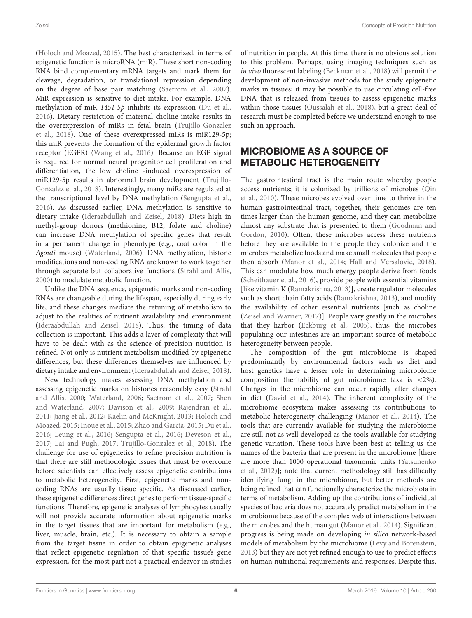[\(Holoch and Moazed,](#page-8-26) [2015\)](#page-8-26). The best characterized, in terms of epigenetic function is microRNA (miR). These short non-coding RNA bind complementary mRNA targets and mark them for cleavage, degradation, or translational repression depending on the degree of base pair matching [\(Saetrom et al.,](#page-9-25) [2007\)](#page-9-25). MiR expression is sensitive to diet intake. For example, DNA methylation of miR 1451-5p inhibits its expression [\(Du et al.,](#page-8-27) [2016\)](#page-8-27). Dietary restriction of maternal choline intake results in the overexpression of miRs in fetal brain [\(Trujillo-Gonzalez](#page-9-26) [et al.,](#page-9-26) [2018\)](#page-9-26). One of these overexpressed miRs is miR129-5p; this miR prevents the formation of the epidermal growth factor receptor (EGFR) [\(Wang et al.,](#page-10-1) [2016\)](#page-10-1). Because an EGF signal is required for normal neural progenitor cell proliferation and differentiation, the low choline -induced overexpression of miR129-5p results in abnormal brain development [\(Trujillo-](#page-9-26)[Gonzalez et al.,](#page-9-26) [2018\)](#page-9-26). Interestingly, many miRs are regulated at the transcriptional level by DNA methylation [\(Sengupta et al.,](#page-9-27) [2016\)](#page-9-27). As discussed earlier, DNA methylation is sensitive to dietary intake [\(Ideraabdullah and Zeisel,](#page-8-15) [2018\)](#page-8-15). Diets high in methyl-group donors (methionine, B12, folate and choline) can increase DNA methylation of specific genes that result in a permanent change in phenotype (e.g., coat color in the Agouti mouse) [\(Waterland,](#page-10-10) [2006\)](#page-10-10). DNA methylation, histone modifications and non-coding RNA are known to work together through separate but collaborative functions [\(Strahl and Allis,](#page-9-23) [2000\)](#page-9-23) to modulate metabolic function.

Unlike the DNA sequence, epigenetic marks and non-coding RNAs are changeable during the lifespan, especially during early life, and these changes mediate the retuning of metabolism to adjust to the realities of nutrient availability and environment [\(Ideraabdullah and Zeisel,](#page-8-15) [2018\)](#page-8-15). Thus, the timing of data collection is important. This adds a layer of complexity that will have to be dealt with as the science of precision nutrition is refined. Not only is nutrient metabolism modified by epigenetic differences, but these differences themselves are influenced by dietary intake and environment [\(Ideraabdullah and Zeisel,](#page-8-15) [2018\)](#page-8-15).

New technology makes assessing DNA methylation and assessing epigenetic marks on histones reasonably easy [\(Strahl](#page-9-23) [and Allis,](#page-9-23) [2000;](#page-9-23) [Waterland,](#page-10-10) [2006;](#page-10-10) [Saetrom et al.,](#page-9-25) [2007;](#page-9-25) [Shen](#page-9-22) [and Waterland,](#page-9-22) [2007;](#page-9-22) [Davison et al.,](#page-8-23) [2009;](#page-8-23) [Rajendran et al.,](#page-9-24) [2011;](#page-9-24) [Jiang et al.,](#page-8-24) [2012;](#page-8-24) [Kaelin and McKnight,](#page-8-20) [2013;](#page-8-20) [Holoch and](#page-8-26) [Moazed,](#page-8-26) [2015;](#page-8-26) [Inoue et al.,](#page-8-21) [2015;](#page-8-21) [Zhao and Garcia,](#page-10-9) [2015;](#page-10-9) [Du et al.,](#page-8-27) [2016;](#page-8-27) [Leung et al.,](#page-8-22) [2016;](#page-8-22) [Sengupta et al.,](#page-9-27) [2016;](#page-9-27) [Deveson et al.,](#page-8-25) [2017;](#page-8-25) [Lai and Pugh,](#page-8-19) [2017;](#page-8-19) [Trujillo-Gonzalez et al.,](#page-9-26) [2018\)](#page-9-26). The challenge for use of epigenetics to refine precision nutrition is that there are still methodologic issues that must be overcome before scientists can effectively assess epigenetic contributions to metabolic heterogeneity. First, epigenetic marks and noncoding RNAs are usually tissue specific. As discussed earlier, these epigenetic differences direct genes to perform tissue-specific functions. Therefore, epigenetic analyses of lymphocytes usually will not provide accurate information about epigenetic marks in the target tissues that are important for metabolism (e.g., liver, muscle, brain, etc.). It is necessary to obtain a sample from the target tissue in order to obtain epigenetic analyses that reflect epigenetic regulation of that specific tissue's gene expression, for the most part not a practical endeavor in studies

of nutrition in people. At this time, there is no obvious solution to this problem. Perhaps, using imaging techniques such as in vivo fluorescent labeling [\(Beckman et al.,](#page-7-5) [2018\)](#page-7-5) will permit the development of non-invasive methods for the study epigenetic marks in tissues; it may be possible to use circulating cell-free DNA that is released from tissues to assess epigenetic marks within those tissues [\(Oussalah et al.,](#page-9-28) [2018\)](#page-9-28), but a great deal of research must be completed before we understand enough to use such an approach.

# MICROBIOME AS A SOURCE OF METABOLIC HETEROGENEITY

The gastrointestinal tract is the main route whereby people access nutrients; it is colonized by trillions of microbes [\(Qin](#page-9-29) [et al.,](#page-9-29) [2010\)](#page-9-29). These microbes evolved over time to thrive in the human gastrointestinal tract, together, their genomes are ten times larger than the human genome, and they can metabolize almost any substrate that is presented to them [\(Goodman and](#page-8-28) [Gordon,](#page-8-28) [2010\)](#page-8-28). Often, these microbes access these nutrients before they are available to the people they colonize and the microbes metabolize foods and make small molecules that people then absorb [\(Manor et al.,](#page-9-30) [2014;](#page-9-30) [Hall and Versalovic,](#page-8-29) [2018\)](#page-8-29). This can modulate how much energy people derive from foods [\(Scheithauer et al.,](#page-9-31) [2016\)](#page-9-31), provide people with essential vitamins [like vitamin K [\(Ramakrishna,](#page-9-32) [2013\)](#page-9-32)], create regulator molecules such as short chain fatty acids [\(Ramakrishna,](#page-9-32) [2013\)](#page-9-32), and modify the availability of other essential nutrients [such as choline [\(Zeisel and Warrier,](#page-10-11) [2017\)](#page-10-11)]. People vary greatly in the microbes that they harbor [\(Eckburg et al.,](#page-8-30) [2005\)](#page-8-30), thus, the microbes populating our intestines are an important source of metabolic heterogeneity between people.

The composition of the gut microbiome is shaped predominantly by environmental factors such as diet and host genetics have a lesser role in determining microbiome composition (heritability of gut microbiome taxa is <2%). Changes in the microbiome can occur rapidly after changes in diet [\(David et al.,](#page-7-6) [2014\)](#page-7-6). The inherent complexity of the microbiome ecosystem makes assessing its contributions to metabolic heterogeneity challenging [\(Manor et al.,](#page-9-30) [2014\)](#page-9-30). The tools that are currently available for studying the microbiome are still not as well developed as the tools available for studying genetic variation. These tools have been best at telling us the names of the bacteria that are present in the microbiome [there are more than 1000 operational taxonomic units [\(Yatsunenko](#page-10-12) [et al.,](#page-10-12) [2012\)](#page-10-12)]; note that current methodology still has difficulty identifying fungi in the microbiome, but better methods are being refined that can functionally characterize the microbiota in terms of metabolism. Adding up the contributions of individual species of bacteria does not accurately predict metabolism in the microbiome because of the complex web of interactions between the microbes and the human gut [\(Manor et al.,](#page-9-30) [2014\)](#page-9-30). Significant progress is being made on developing in silico network-based models of metabolism by the microbiome [\(Levy and Borenstein,](#page-9-33) [2013\)](#page-9-33) but they are not yet refined enough to use to predict effects on human nutritional requirements and responses. Despite this,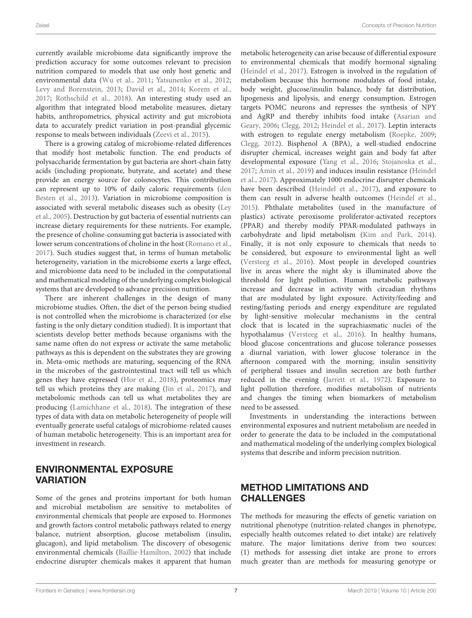currently available microbiome data significantly improve the prediction accuracy for some outcomes relevant to precision nutrition compared to models that use only host genetic and environmental data [\(Wu et al.,](#page-10-13) [2011;](#page-10-13) [Yatsunenko et al.,](#page-10-12) [2012;](#page-10-12) [Levy and Borenstein,](#page-9-33) [2013;](#page-9-33) [David et al.,](#page-7-6) [2014;](#page-7-6) [Korem et al.,](#page-8-31) [2017;](#page-8-31) [Rothschild et al.,](#page-9-34) [2018\)](#page-9-34). An interesting study used an algorithm that integrated blood metabolite measures, dietary habits, anthropometrics, physical activity and gut microbiota data to accurately predict variation in post-prandial glycemic response to meals between individuals [\(Zeevi et al.,](#page-10-14) [2015\)](#page-10-14).

There is a growing catalog of microbiome-related differences that modify host metabolic function. The end products of polysaccharide fermentation by gut bacteria are short-chain fatty acids (including propionate, butyrate, and acetate) and these provide an energy source for colonocytes. This contribution can represent up to 10% of daily caloric requirements [\(den](#page-8-32) [Besten et al.,](#page-8-32) [2013\)](#page-8-32). Variation in microbiome composition is associated with several metabolic diseases such as obesity [\(Ley](#page-9-35) [et al.,](#page-9-35) [2005\)](#page-9-35). Destruction by gut bacteria of essential nutrients can increase dietary requirements for these nutrients. For example, the presence of choline-consuming gut bacteria is associated with lower serum concentrations of choline in the host [\(Romano et al.,](#page-9-36) [2017\)](#page-9-36). Such studies suggest that, in terms of human metabolic heterogeneity, variation in the microbiome exerts a large effect, and microbiome data need to be included in the computational and mathematical modeling of the underlying complex biological systems that are developed to advance precision nutrition.

There are inherent challenges in the design of many microbiome studies. Often, the diet of the person being studied is not controlled when the microbiome is characterized (or else fasting is the only dietary condition studied). It is important that scientists develop better methods because organisms with the same name often do not express or activate the same metabolic pathways as this is dependent on the substrates they are growing in. Meta-omic methods are maturing, sequencing of the RNA in the microbes of the gastrointestinal tract will tell us which genes they have expressed [\(Hor et al.,](#page-8-33) [2018\)](#page-8-33), proteomics may tell us which proteins they are making [\(Jin et al.,](#page-8-34) [2017\)](#page-8-34), and metabolomic methods can tell us what metabolites they are producing [\(Lamichhane et al.,](#page-8-35) [2018\)](#page-8-35). The integration of these types of data with data on metabolic heterogeneity of people will eventually generate useful catalogs of microbiome-related causes of human metabolic heterogeneity. This is an important area for investment in research.

## ENVIRONMENTAL EXPOSURE VARIATION

Some of the genes and proteins important for both human and microbial metabolism are sensitive to metabolites of environmental chemicals that people are exposed to. Hormones and growth factors control metabolic pathways related to energy balance, nutrient absorption, glucose metabolism (insulin, glucagon), and lipid metabolism. The discovery of obesogenic environmental chemicals [\(Baillie-Hamilton,](#page-7-7) [2002\)](#page-7-7) that include endocrine disrupter chemicals makes it apparent that human

metabolic heterogeneity can arise because of differential exposure to environmental chemicals that modify hormonal signaling [\(Heindel et al.,](#page-8-36) [2017\)](#page-8-36). Estrogen is involved in the regulation of metabolism because this hormone modulates of food intake, body weight, glucose/insulin balance, body fat distribution, lipogenesis and lipolysis, and energy consumption. Estrogen targets POMC neurons and represses the synthesis of NPY and AgRP and thereby inhibits food intake [\(Asarian and](#page-7-8) [Geary,](#page-7-8) [2006;](#page-7-8) [Clegg,](#page-7-9) [2012;](#page-7-9) [Heindel et al.,](#page-8-36) [2017\)](#page-8-36). Leptin interacts with estrogen to regulate energy metabolism [\(Roepke,](#page-9-37) [2009;](#page-9-37) [Clegg,](#page-7-9) [2012\)](#page-7-9). Bisphenol A (BPA), a well-studied endocrine disrupter chemical, increases weight gain and body fat after developmental exposure [\(Yang et al.,](#page-10-15) [2016;](#page-10-15) [Stojanoska et al.,](#page-9-38) [2017;](#page-9-38) [Amin et al.,](#page-7-10) [2019\)](#page-7-10) and induces insulin resistance [\(Heindel](#page-8-36) [et al.,](#page-8-36) [2017\)](#page-8-36). Approximately 1000 endocrine disrupter chemicals have been described [\(Heindel et al.,](#page-8-36) [2017\)](#page-8-36), and exposure to them can result in adverse health outcomes [\(Heindel et al.,](#page-8-37) [2015\)](#page-8-37). Phthalate metabolites (used in the manufacture of plastics) activate peroxisome proliferator-activated receptors (PPAR) and thereby modify PPAR-modulated pathways in carbohydrate and lipid metabolism [\(Kim and Park,](#page-8-38) [2014\)](#page-8-38). Finally, it is not only exposure to chemicals that needs to be considered, but exposure to environmental light as well [\(Versteeg et al.,](#page-10-16) [2016\)](#page-10-16). Most people in developed countries live in areas where the night sky is illuminated above the threshold for light pollution. Human metabolic pathways increase and decrease in activity with circadian rhythms that are modulated by light exposure. Activity/feeding and resting/fasting periods and energy expenditure are regulated by light-sensitive molecular mechanisms in the central clock that is located in the suprachiasmatic nuclei of the hypothalamus [\(Versteeg et al.,](#page-10-16) [2016\)](#page-10-16). In healthy humans, blood glucose concentrations and glucose tolerance possesses a diurnal variation, with lower glucose tolerance in the afternoon compared with the morning; insulin sensitivity of peripheral tissues and insulin secretion are both further reduced in the evening [\(Jarrett et al.,](#page-8-39) [1972\)](#page-8-39). Exposure to light pollution therefore, modifies metabolism of nutrients and changes the timing when biomarkers of metabolism need to be assessed.

Investments in understanding the interactions between environmental exposures and nutrient metabolism are needed in order to generate the data to be included in the computational and mathematical modeling of the underlying complex biological systems that describe and inform precision nutrition.

## METHOD LIMITATIONS AND CHALLENGES

The methods for measuring the effects of genetic variation on nutritional phenotype (nutrition-related changes in phenotype, especially health outcomes related to diet intake) are relatively mature. The major limitations derive from two sources: (1) methods for assessing diet intake are prone to errors much greater than are methods for measuring genotype or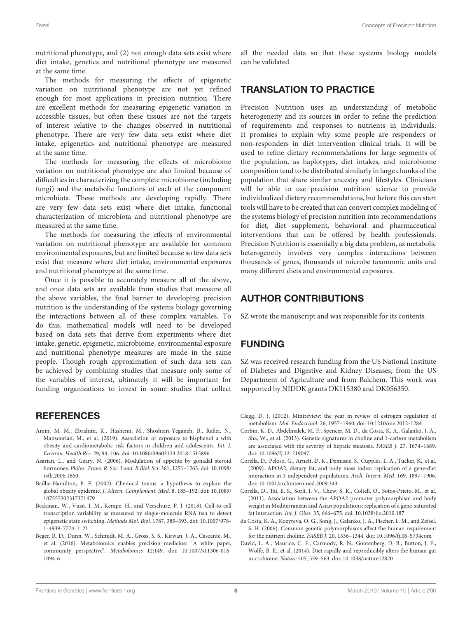nutritional phenotype, and (2) not enough data sets exist where diet intake, genetics and nutritional phenotype are measured at the same time.

The methods for measuring the effects of epigenetic variation on nutritional phenotype are not yet refined enough for most applications in precision nutrition. There are excellent methods for measuring epigenetic variation in accessible tissues, but often these tissues are not the targets of interest relative to the changes observed in nutritional phenotype. There are very few data sets exist where diet intake, epigenetics and nutritional phenotype are measured at the same time.

The methods for measuring the effects of microbiome variation on nutritional phenotype are also limited because of difficulties in characterizing the complete microbiome (including fungi) and the metabolic functions of each of the component microbiota. These methods are developing rapidly. There are very few data sets exist where diet intake, functional characterization of microbiota and nutritional phenotype are measured at the same time.

The methods for measuring the effects of environmental variation on nutritional phenotype are available for common environmental exposures, but are limited because so few data sets exist that measure where diet intake, environmental exposures and nutritional phenotype at the same time.

Once it is possible to accurately measure all of the above, and once data sets are available from studies that measure all the above variables, the final barrier to developing precision nutrition is the understanding of the systems biology governing the interactions between all of these complex variables. To do this, mathematical models will need to be developed based on data sets that derive from experiments where diet intake, genetic, epigenetic, microbiome, environmental exposure and nutritional phenotype measures are made in the same people. Though rough approximation of such data sets can be achieved by combining studies that measure only some of the variables of interest, ultimately it will be important for funding organizations to invest in some studies that collect

### **REFERENCES**

- <span id="page-7-10"></span>Amin, M. M., Ebrahim, K., Hashemi, M., Shoshtari-Yeganeh, B., Rafiei, N., Mansourian, M., et al. (2019). Association of exposure to bisphenol a with obesity and cardiometabolic risk factors in children and adolescents. Int. J. Environ. Health Res. 29, 94–106. [doi: 10.1080/09603123.2018.1515896](https://doi.org/10.1080/09603123.2018.1515896)
- <span id="page-7-8"></span>Asarian, L., and Geary, N. (2006). Modulation of appetite by gonadal steroid hormones. Philos. Trans. R. Soc. Lond. B Biol. Sci. 361, 1251–1263. [doi: 10.1098/](https://doi.org/10.1098/rstb.2006.1860) [rstb.2006.1860](https://doi.org/10.1098/rstb.2006.1860)
- <span id="page-7-7"></span>Baillie-Hamilton, P. F. (2002). Chemical toxins: a hypothesis to explain the global obesity epidemic. J. Altern. Complement. Med. 8, 185–192. [doi: 10.1089/](https://doi.org/10.1089/107555302317371479) [107555302317371479](https://doi.org/10.1089/107555302317371479)
- <span id="page-7-5"></span>Beckman, W., Vuist, I. M., Kempe, H., and Verschure, P. J. (2018). Cell-to-cell transcription variability as measured by single-molecule RNA fish to detect epigenetic state switching. Methods Mol. Biol. 1767, 385–393. [doi: 10.1007/978-](https://doi.org/10.1007/978-1-4939-7774-1_21) [1-4939-7774-1\\_21](https://doi.org/10.1007/978-1-4939-7774-1_21)
- <span id="page-7-4"></span>Beger, R. D., Dunn, W., Schmidt, M. A., Gross, S. S., Kirwan, J. A., Cascante, M., et al. (2016). Metabolomics enables precision medicine: "A white paper, community perspective". Metabolomics 12:149. [doi: 10.1007/s11306-016-](https://doi.org/10.1007/s11306-016-1094-6) [1094-6](https://doi.org/10.1007/s11306-016-1094-6)

all the needed data so that these systems biology models can be validated.

# TRANSLATION TO PRACTICE

Precision Nutrition uses an understanding of metabolic heterogeneity and its sources in order to refine the prediction of requirements and responses to nutrients in individuals. It promises to explain why some people are responders or non-responders in diet intervention clinical trials. It will be used to refine dietary recommendations for large segments of the population, as haplotypes, diet intakes, and microbiome composition tend to be distributed similarly in large chunks of the population that share similar ancestry and lifestyles. Clinicians will be able to use precision nutrition science to provide individualized dietary recommendations, but before this can start tools will have to be created that can convert complex modeling of the systems biology of precision nutrition into recommendations for diet, diet supplement, behavioral and pharmaceutical interventions that can be offered by health professionals. Precision Nutrition is essentially a big data problem, as metabolic heterogeneity involves very complex interactions between thousands of genes, thousands of microbe taxonomic units and many different diets and environmental exposures.

### AUTHOR CONTRIBUTIONS

SZ wrote the manuscript and was responsible for its contents.

### FUNDING

SZ was received research funding from the US National Institute of Diabetes and Digestive and Kidney Diseases, from the US Department of Agriculture and from Balchem. This work was supported by NIDDK grants DK115380 and DK056350.

- <span id="page-7-9"></span>Clegg, D. J. (2012). Minireview: the year in review of estrogen regulation of metabolism. Mol. Endocrinol. 26, 1957–1960. [doi: 10.1210/me.2012-1284](https://doi.org/10.1210/me.2012-1284)
- <span id="page-7-3"></span>Corbin, K. D., Abdelmalek, M. F., Spencer, M. D., da Costa, K. A., Galanko, J. A., Sha, W., et al. (2013). Genetic signatures in choline and 1-carbon metabolism are associated with the severity of hepatic steatosis. FASEB J. 27, 1674–1689. [doi: 10.1096/fj.12-219097](https://doi.org/10.1096/fj.12-219097)
- <span id="page-7-1"></span>Corella, D., Peloso, G., Arnett, D. K., Demissie, S., Cupples, L. A., Tucker, K., et al. (2009). APOA2, dietary fat, and body mass index: replication of a gene-diet interaction in 3 independent populations. Arch. Intern. Med. 169, 1897–1906. [doi: 10.1001/archinternmed.2009.343](https://doi.org/10.1001/archinternmed.2009.343)
- <span id="page-7-2"></span>Corella, D., Tai, E. S., Sorli, J. V., Chew, S. K., Coltell, O., Sotos-Prieto, M., et al. (2011). Association between the APOA2 promoter polymorphism and body weight in Mediterranean and Asian populations: replication of a gene-saturated fat interaction. Int. J. Obes. 35, 666–675. [doi: 10.1038/ijo.2010.187](https://doi.org/10.1038/ijo.2010.187)
- <span id="page-7-0"></span>da Costa, K. A., Kozyreva, O. G., Song, J., Galanko, J. A., Fischer, L. M., and Zeisel, S. H. (2006). Common genetic polymorphisms affect the human requirement for the nutrient choline. FASEB J. 20, 1336–1344. [doi: 10.1096/fj.06-5734com](https://doi.org/10.1096/fj.06-5734com)
- <span id="page-7-6"></span>David, L. A., Maurice, C. F., Carmody, R. N., Gootenberg, D. B., Button, J. E., Wolfe, B. E., et al. (2014). Diet rapidly and reproducibly alters the human gut microbiome. Nature 505, 559–563. [doi: 10.1038/nature12820](https://doi.org/10.1038/nature12820)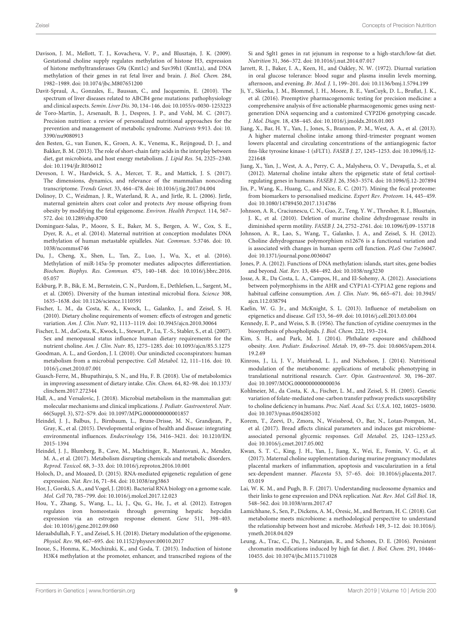- <span id="page-8-23"></span>Davison, J. M., Mellott, T. J., Kovacheva, V. P., and Blusztajn, J. K. (2009). Gestational choline supply regulates methylation of histone H3, expression of histone methyltransferases G9a (Kmt1c) and Suv39h1 (Kmt1a), and DNA methylation of their genes in rat fetal liver and brain. J. Biol. Chem. 284, 1982–1989. [doi: 10.1074/jbc.M807651200](https://doi.org/10.1074/jbc.M807651200)
- <span id="page-8-10"></span>Davit-Spraul, A., Gonzales, E., Baussan, C., and Jacquemin, E. (2010). The spectrum of liver diseases related to ABCB4 gene mutations: pathophysiology and clinical aspects. Semin. Liver Dis. 30, 134–146. [doi: 10.1055/s-0030-1253223](https://doi.org/10.1055/s-0030-1253223)
- <span id="page-8-7"></span>de Toro-Martin, J., Arsenault, B. J., Despres, J. P., and Vohl, M. C. (2017). Precision nutrition: a review of personalized nutritional approaches for the prevention and management of metabolic syndrome. Nutrients 9:913. [doi: 10.](https://doi.org/10.3390/nu9080913) [3390/nu9080913](https://doi.org/10.3390/nu9080913)
- <span id="page-8-32"></span>den Besten, G., van Eunen, K., Groen, A. K., Venema, K., Reijngoud, D. J., and Bakker, B. M. (2013). The role of short-chain fatty acids in the interplay between diet, gut microbiota, and host energy metabolism. J. Lipid Res. 54, 2325–2340. [doi: 10.1194/jlr.R036012](https://doi.org/10.1194/jlr.R036012)
- <span id="page-8-25"></span>Deveson, I. W., Hardwick, S. A., Mercer, T. R., and Mattick, J. S. (2017). The dimensions, dynamics, and relevance of the mammalian noncoding transcriptome. Trends Genet. 33, 464–478. [doi: 10.1016/j.tig.2017.04.004](https://doi.org/10.1016/j.tig.2017.04.004)
- <span id="page-8-17"></span>Dolinoy, D. C., Weidman, J. R., Waterland, R. A., and Jirtle, R. L. (2006). Jirtle, maternal genistein alters coat color and protects Avy mouse offspring from obesity by modifying the fetal epigenome. Environ. Health Perspect. 114, 567– 572. [doi: 10.1289/ehp.8700](https://doi.org/10.1289/ehp.8700)
- <span id="page-8-18"></span>Dominguez-Salas, P., Moore, S. E., Baker, M. S., Bergen, A. W., Cox, S. E., Dyer, R. A., et al. (2014). Maternal nutrition at conception modulates DNA methylation of human metastable epialleles. Nat. Commun. 5:3746. [doi: 10.](https://doi.org/10.1038/ncomms4746) [1038/ncomms4746](https://doi.org/10.1038/ncomms4746)
- <span id="page-8-27"></span>Du, J., Cheng, X., Shen, L., Tan, Z., Luo, J., Wu, X., et al. (2016). Methylation of miR-145a-5p promoter mediates adipocytes differentiation. Biochem. Biophys. Res. Commun. 475, 140–148. [doi: 10.1016/j.bbrc.2016.](https://doi.org/10.1016/j.bbrc.2016.05.057) [05.057](https://doi.org/10.1016/j.bbrc.2016.05.057)
- <span id="page-8-30"></span>Eckburg, P. B., Bik, E. M., Bernstein, C. N., Purdom, E., Dethlefsen, L., Sargent, M., et al. (2005). Diversity of the human intestinal microbial flora. Science 308, 1635–1638. [doi: 10.1126/science.1110591](https://doi.org/10.1126/science.1110591)
- <span id="page-8-5"></span>Fischer, L. M., da Costa, K. A., Kwock, L., Galanko, J., and Zeisel, S. H. (2010). Dietary choline requirements of women: effects of estrogen and genetic variation. Am. J. Clin. Nutr. 92, 1113–1119. [doi: 10.3945/ajcn.2010.30064](https://doi.org/10.3945/ajcn.2010.30064)
- <span id="page-8-4"></span>Fischer, L. M., daCosta, K., Kwock, L., Stewart, P., Lu, T.-S., Stabler, S., et al. (2007). Sex and menopausal status influence human dietary requirements for the nutrient choline. Am. J. Clin. Nutr. 85, 1275–1285. [doi: 10.1093/ajcn/85.5.1275](https://doi.org/10.1093/ajcn/85.5.1275)
- <span id="page-8-28"></span>Goodman, A. L., and Gordon, J. I. (2010). Our unindicted coconspirators: human metabolism from a microbial perspective. Cell Metabol. 12, 111–116. [doi: 10.](https://doi.org/10.1016/j.cmet.2010.07.001) [1016/j.cmet.2010.07.001](https://doi.org/10.1016/j.cmet.2010.07.001)
- <span id="page-8-14"></span>Guasch-Ferre, M., Bhupathiraju, S. N., and Hu, F. B. (2018). Use of metabolomics in improving assessment of dietary intake. Clin. Chem. 64, 82–98. [doi: 10.1373/](https://doi.org/10.1373/clinchem.2017.272344) [clinchem.2017.272344](https://doi.org/10.1373/clinchem.2017.272344)
- <span id="page-8-29"></span>Hall, A., and Versalovic, J. (2018). Microbial metabolism in the mammalian gut: molecular mechanisms and clinical implications. J. Pediatr. Gastroenterol. Nutr. 66(Suppl. 3), S72–S79. [doi: 10.1097/MPG.0000000000001857](https://doi.org/10.1097/MPG.0000000000001857)
- <span id="page-8-37"></span>Heindel, J. J., Balbus, J., Birnbaum, L., Brune-Drisse, M. N., Grandjean, P., Gray, K., et al. (2015). Developmental origins of health and disease: integrating environmental influences. Endocrinology 156, 3416–3421. [doi: 10.1210/EN.](https://doi.org/10.1210/EN.2015-1394) [2015-1394](https://doi.org/10.1210/EN.2015-1394)
- <span id="page-8-36"></span>Heindel, J. J., Blumberg, B., Cave, M., Machtinger, R., Mantovani, A., Mendez, M. A., et al. (2017). Metabolism disrupting chemicals and metabolic disorders. Reprod. Toxicol. 68, 3–33. [doi: 10.1016/j.reprotox.2016.10.001](https://doi.org/10.1016/j.reprotox.2016.10.001)
- <span id="page-8-26"></span>Holoch, D., and Moazed, D. (2015). RNA-mediated epigenetic regulation of gene expression. Nat. Rev.16, 71–84. [doi: 10.1038/nrg3863](https://doi.org/10.1038/nrg3863)
- <span id="page-8-33"></span>Hor, J., Gorski, S. A., and Vogel, J. (2018). Bacterial RNA biology on a genome scale. Mol. Cell 70, 785–799. [doi: 10.1016/j.molcel.2017.12.023](https://doi.org/10.1016/j.molcel.2017.12.023)
- <span id="page-8-1"></span>Hou, Y., Zhang, S., Wang, L., Li, J., Qu, G., He, J., et al. (2012). Estrogen regulates iron homeostasis through governing hepatic hepcidin expression via an estrogen response element. Gene 511, 398–403. [doi: 10.1016/j.gene.2012.09.060](https://doi.org/10.1016/j.gene.2012.09.060)
- <span id="page-8-15"></span>Ideraabdullah, F. Y., and Zeisel, S. H. (2018). Dietary modulation of the epigenome. Physiol. Rev. 98, 667–695. [doi: 10.1152/physrev.00010.2017](https://doi.org/10.1152/physrev.00010.2017)
- <span id="page-8-21"></span>Inoue, S., Honma, K., Mochizuki, K., and Goda, T. (2015). Induction of histone H3K4 methylation at the promoter, enhancer, and transcribed regions of the

Si and Sglt1 genes in rat jejunum in response to a high-starch/low-fat diet. Nutrition 31, 366–372. [doi: 10.1016/j.nut.2014.07.017](https://doi.org/10.1016/j.nut.2014.07.017)

- <span id="page-8-39"></span>Jarrett, R. J., Baker, I. A., Keen, H., and Oakley, N. W. (1972). Diurnal variation in oral glucose tolerance: blood sugar and plasma insulin levels morning, afternoon, and evening. Br. Med. J. 1, 199–201. [doi: 10.1136/bmj.1.5794.199](https://doi.org/10.1136/bmj.1.5794.199)
- <span id="page-8-0"></span>Ji, Y., Skierka, J. M., Blommel, J. H., Moore, B. E., VanCuyk, D. L., Bruflat, J. K., et al. (2016). Preemptive pharmacogenomic testing for precision medicine: a comprehensive analysis of five actionable pharmacogenomic genes using nextgeneration DNA sequencing and a customized CYP2D6 genotyping cascade. J. Mol. Diagn. 18, 438–445. [doi: 10.1016/j.jmoldx.2016.01.003](https://doi.org/10.1016/j.jmoldx.2016.01.003)
- <span id="page-8-3"></span>Jiang, X., Bar, H. Y., Yan, J., Jones, S., Brannon, P. M., West, A. A., et al. (2013). A higher maternal choline intake among third-trimester pregnant women lowers placental and circulating concentrations of the antiangiogenic factor fms-like tyrosine kinase-1 (sFLT1). FASEB J. 27, 1245–1253. [doi: 10.1096/fj.12-](https://doi.org/10.1096/fj.12-221648) [221648](https://doi.org/10.1096/fj.12-221648)
- <span id="page-8-24"></span>Jiang, X., Yan, J., West, A. A., Perry, C. A., Malysheva, O. V., Devapatla, S., et al. (2012). Maternal choline intake alters the epigenetic state of fetal cortisolregulating genes in humans. FASEB J. 26, 3563–3574. [doi: 10.1096/fj.12-207894](https://doi.org/10.1096/fj.12-207894)
- <span id="page-8-34"></span>Jin, P., Wang, K., Huang, C., and Nice, E. C. (2017). Mining the fecal proteome: from biomarkers to personalised medicine. Expert Rev. Proteom. 14, 445–459. [doi: 10.1080/14789450.2017.1314786](https://doi.org/10.1080/14789450.2017.1314786)
- <span id="page-8-11"></span>Johnson, A. R., Craciunescu, C. N., Guo, Z., Teng, Y. W., Thresher, R. J., Blusztajn, J. K., et al. (2010). Deletion of murine choline dehydrogenase results in diminished sperm motility. FASEB J. 24, 2752–2761. [doi: 10.1096/fj.09-153718](https://doi.org/10.1096/fj.09-153718)
- <span id="page-8-12"></span>Johnson, A. R., Lao, S., Wang, T., Galanko, J. A., and Zeisel, S. H. (2012). Choline dehydrogenase polymorphism rs12676 is a functional variation and is associated with changes in human sperm cell function. PLoS One 7:e36047. [doi: 10.1371/journal.pone.0036047](https://doi.org/10.1371/journal.pone.0036047)
- <span id="page-8-16"></span>Jones, P. A. (2012). Functions of DNA methylation: islands, start sites, gene bodies and beyond. Nat. Rev. 13, 484–492. [doi: 10.1038/nrg3230](https://doi.org/10.1038/nrg3230)
- <span id="page-8-6"></span>Josse, A. R., Da Costa, L. A., Campos, H., and El-Sohemy, A. (2012). Associations between polymorphisms in the AHR and CYP1A1-CYP1A2 gene regions and habitual caffeine consumption. Am. J. Clin. Nutr. 96, 665–671. [doi: 10.3945/](https://doi.org/10.3945/ajcn.112.038794) [ajcn.112.038794](https://doi.org/10.3945/ajcn.112.038794)
- <span id="page-8-20"></span>Kaelin, W. G. Jr., and McKnight, S. L. (2013). Influence of metabolism on epigenetics and disease. Cell 153, 56–69. [doi: 10.1016/j.cell.2013.03.004](https://doi.org/10.1016/j.cell.2013.03.004)
- <span id="page-8-9"></span>Kennedy, E. P., and Weiss, S. B. (1956). The function of cytidine coenzymes in the biosynthesis of phospholipids. J. Biol. Chem. 222, 193–214.
- <span id="page-8-38"></span>Kim, S. H., and Park, M. J. (2014). Phthalate exposure and childhood obesity. Ann. Pediatr. Endocrinol. Metab. 19, 69–75. [doi: 10.6065/apem.2014.](https://doi.org/10.6065/apem.2014.19.2.69) [19.2.69](https://doi.org/10.6065/apem.2014.19.2.69)
- <span id="page-8-13"></span>Kinross, J., Li, J. V., Muirhead, L. J., and Nicholson, J. (2014). Nutritional modulation of the metabonome: applications of metabolic phenotyping in translational nutritional research. Curr. Opin. Gastroenterol. 30, 196–207. [doi: 10.1097/MOG.0000000000000036](https://doi.org/10.1097/MOG.0000000000000036)
- <span id="page-8-8"></span>Kohlmeier, M., da Costa, K. A., Fischer, L. M., and Zeisel, S. H. (2005). Genetic variation of folate-mediated one-carbon transfer pathway predicts susceptibility to choline deficiency in humans. Proc. Natl. Acad. Sci. U.S.A. 102, 16025–16030. [doi: 10.1073/pnas.0504285102](https://doi.org/10.1073/pnas.0504285102)
- <span id="page-8-31"></span>Korem, T., Zeevi, D., Zmora, N., Weissbrod, O., Bar, N., Lotan-Pompan, M., et al. (2017). Bread affects clinical parameters and induces gut microbiomeassociated personal glycemic responses. Cell Metabol. 25, 1243–1253.e5. [doi: 10.1016/j.cmet.2017.05.002](https://doi.org/10.1016/j.cmet.2017.05.002)
- <span id="page-8-2"></span>Kwan, S. T. C., King, J. H., Yan, J., Jiang, X., Wei, E., Fomin, V. G., et al. (2017). Maternal choline supplementation during murine pregnancy modulates placental markers of inflammation, apoptosis and vascularization in a fetal sex-dependent manner. Placenta 53, 57–65. [doi: 10.1016/j.placenta.2017.](https://doi.org/10.1016/j.placenta.2017.03.019) [03.019](https://doi.org/10.1016/j.placenta.2017.03.019)
- <span id="page-8-19"></span>Lai, W. K. M., and Pugh, B. F. (2017). Understanding nucleosome dynamics and their links to gene expression and DNA replication. Nat. Rev. Mol. Cell Biol. 18, 548–562. [doi: 10.1038/nrm.2017.47](https://doi.org/10.1038/nrm.2017.47)
- <span id="page-8-35"></span>Lamichhane, S., Sen, P., Dickens, A. M., Oresic, M., and Bertram, H. C. (2018). Gut metabolome meets microbiome: a methodological perspective to understand the relationship between host and microbe. Methods 149, 3–12. [doi: 10.1016/j.](https://doi.org/10.1016/j.ymeth.2018.04.029) [ymeth.2018.04.029](https://doi.org/10.1016/j.ymeth.2018.04.029)
- <span id="page-8-22"></span>Leung, A., Trac, C., Du, J., Natarajan, R., and Schones, D. E. (2016). Persistent chromatin modifications induced by high fat diet. J. Biol. Chem. 291, 10446– 10455. [doi: 10.1074/jbc.M115.711028](https://doi.org/10.1074/jbc.M115.711028)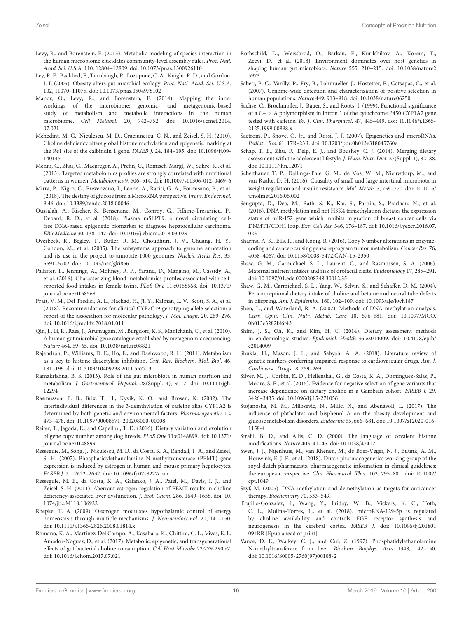- <span id="page-9-33"></span>Levy, R., and Borenstein, E. (2013). Metabolic modeling of species interaction in the human microbiome elucidates community-level assembly rules. Proc. Natl. Acad. Sci. U.S.A. 110, 12804–12809. [doi: 10.1073/pnas.1300926110](https://doi.org/10.1073/pnas.1300926110)
- <span id="page-9-35"></span>Ley, R. E., Backhed, F., Turnbaugh, P., Lozupone, C. A., Knight, R. D., and Gordon, J. I. (2005). Obesity alters gut microbial ecology. Proc. Natl. Acad. Sci. U.S.A. 102, 11070–11075. [doi: 10.1073/pnas.0504978102](https://doi.org/10.1073/pnas.0504978102)
- <span id="page-9-30"></span>Manor, O., Levy, R., and Borenstein, E. (2014). Mapping the inner workings of the microbiome: genomic- and metagenomic-based study of metabolism and metabolic interactions in the human microbiome. Cell Metabol. 20, 742–752. [doi: 10.1016/j.cmet.2014.](https://doi.org/10.1016/j.cmet.2014.07.021) [07.021](https://doi.org/10.1016/j.cmet.2014.07.021)
- <span id="page-9-21"></span>Mehedint, M. G., Niculescu, M. D., Craciunescu, C. N., and Zeisel, S. H. (2010). Choline deficiency alters global histone methylation and epigenetic marking at the Re1 site of the calbindin 1 gene. FASEB J. 24, 184–195. [doi: 10.1096/fj.09-](https://doi.org/10.1096/fj.09-140145) [140145](https://doi.org/10.1096/fj.09-140145)
- <span id="page-9-18"></span>Menni, C., Zhai, G., Macgregor, A., Prehn, C., Romisch-Margl, W., Suhre, K., et al. (2013). Targeted metabolomics profiles are strongly correlated with nutritional patterns in women. Metabolomics 9, 506–514. [doi: 10.1007/s11306-012-0469-6](https://doi.org/10.1007/s11306-012-0469-6)
- <span id="page-9-4"></span>Mirra, P., Nigro, C., Prevenzano, I., Leone, A., Raciti, G. A., Formisano, P., et al. (2018). The destiny of glucose from a MicroRNA perspective. Front. Endocrinol. 9:46. [doi: 10.3389/fendo.2018.00046](https://doi.org/10.3389/fendo.2018.00046)
- <span id="page-9-28"></span>Oussalah, A., Rischer, S., Bensenane, M., Conroy, G., Filhine-Tresarrieu, P., Debard, R. D., et al. (2018). Plasma mSEPT9: a novel circulating cellfree DNA-based epigenetic biomarker to diagnose hepatocellular carcinoma. EBioMedicine 30, 138–147. [doi: 10.1016/j.ebiom.2018.03.029](https://doi.org/10.1016/j.ebiom.2018.03.029)
- <span id="page-9-5"></span>Overbeek, R., Begley, T., Butler, R. M., Choudhuri, J. V., Chuang, H. Y., Cohoon, M., et al. (2005). The subsystems approach to genome annotation and its use in the project to annotate 1000 genomes. Nucleic Acids Res. 33, 5691–5702. [doi: 10.1093/nar/gki866](https://doi.org/10.1093/nar/gki866)
- <span id="page-9-19"></span>Pallister, T., Jennings, A., Mohney, R. P., Yarand, D., Mangino, M., Cassidy, A., et al. (2016). Characterizing blood metabolomics profiles associated with selfreported food intakes in female twins. PLoS One 11:e0158568. [doi: 10.1371/](https://doi.org/10.1371/journal.pone.0158568) [journal.pone.0158568](https://doi.org/10.1371/journal.pone.0158568)
- <span id="page-9-0"></span>Pratt, V. M., Del Tredici, A. L., Hachad, H., Ji, Y., Kalman, L. V., Scott, S. A., et al. (2018). Recommendations for clinical CYP2C19 genotyping allele selection: a report of the association for molecular pathology. J. Mol. Diagn. 20, 269–276. [doi: 10.1016/j.jmoldx.2018.01.011](https://doi.org/10.1016/j.jmoldx.2018.01.011)
- <span id="page-9-29"></span>Qin, J., Li, R., Raes, J., Arumugam, M., Burgdorf, K. S., Manichanh, C., et al. (2010). A human gut microbial gene catalogue established by metagenomic sequencing. Nature 464, 59–65. [doi: 10.1038/nature08821](https://doi.org/10.1038/nature08821)
- <span id="page-9-24"></span>Rajendran, P., Williams, D. E., Ho, E., and Dashwood, R. H. (2011). Metabolism as a key to histone deacetylase inhibition. Crit. Rev. Biochem. Mol. Biol. 46, 181–199. [doi: 10.3109/10409238.2011.557713](https://doi.org/10.3109/10409238.2011.557713)
- <span id="page-9-32"></span>Ramakrishna, B. S. (2013). Role of the gut microbiota in human nutrition and metabolism. J. Gastroenterol. Hepatol. 28(Suppl. 4), 9–17. [doi: 10.1111/jgh.](https://doi.org/10.1111/jgh.12294) [12294](https://doi.org/10.1111/jgh.12294)
- <span id="page-9-11"></span>Rasmussen, B. B., Brix, T. H., Kyvik, K. O., and Brosen, K. (2002). The interindividual differences in the 3-demthylation of caffeine alias CYP1A2 is determined by both genetic and environmental factors. Pharmacogenetics 12, 473–478. [doi: 10.1097/00008571-200208000-00008](https://doi.org/10.1097/00008571-200208000-00008)
- <span id="page-9-13"></span>Reiter, T., Jagoda, E., and Capellini, T. D. (2016). Dietary variation and evolution of gene copy number among dog breeds. PLoS One 11:e0148899. [doi: 10.1371/](https://doi.org/10.1371/journal.pone.0148899) [journal.pone.0148899](https://doi.org/10.1371/journal.pone.0148899)
- <span id="page-9-9"></span>Resseguie, M., Song, J., Niculescu, M. D., da Costa, K. A., Randall, T. A., and Zeisel, S. H. (2007). Phosphatidylethanolamine N-methyltransferase (PEMT) gene expression is induced by estrogen in human and mouse primary hepatocytes. FASEB J. 21, 2622–2632. [doi: 10.1096/fj.07-8227com](https://doi.org/10.1096/fj.07-8227com)
- <span id="page-9-3"></span>Resseguie, M. E., da Costa, K. A., Galanko, J. A., Patel, M., Davis, I. J., and Zeisel, S. H. (2011). Aberrant estrogen regulation of PEMT results in choline deficiency-associated liver dysfunction. J. Biol. Chem. 286, 1649–1658. [doi: 10.](https://doi.org/10.1074/jbc.M110.106922) [1074/jbc.M110.106922](https://doi.org/10.1074/jbc.M110.106922)
- <span id="page-9-37"></span>Roepke, T. A. (2009). Oestrogen modulates hypothalamic control of energy homeostasis through multiple mechanisms. J. Neuroendocrinol. 21, 141–150. [doi: 10.1111/j.1365-2826.2008.01814.x](https://doi.org/10.1111/j.1365-2826.2008.01814.x)
- <span id="page-9-36"></span>Romano, K. A., Martinez-Del Campo, A., Kasahara, K., Chittim, C. L., Vivas, E. I., Amador-Noguez, D., et al. (2017). Metabolic, epigenetic, and transgenerational effects of gut bacterial choline consumption. Cell Host Microbe 22:279-290.e7. [doi: 10.1016/j.chom.2017.07.021](https://doi.org/10.1016/j.chom.2017.07.021)
- <span id="page-9-34"></span>Rothschild, D., Weissbrod, O., Barkan, E., Kurilshikov, A., Korem, T., Zeevi, D., et al. (2018). Environment dominates over host genetics in shaping human gut microbiota. Nature 555, 210–215. [doi: 10.1038/nature2](https://doi.org/10.1038/nature25973) [5973](https://doi.org/10.1038/nature25973)
- <span id="page-9-6"></span>Sabeti, P. C., Varilly, P., Fry, B., Lohmueller, J., Hostetter, E., Cotsapas, C., et al. (2007). Genome-wide detection and characterization of positive selection in human populations. Nature 449, 913–918. [doi: 10.1038/nature06250](https://doi.org/10.1038/nature06250)
- <span id="page-9-12"></span>Sachse, C., Brockmoller, J., Bauer, S., and Roots, I. (1999). Functional significance of a C– > A polymorphism in intron 1 of the cytochrome P450 CYP1A2 gene tested with caffeine. Br. J. Clin. Pharmacol. 47, 445–449. [doi: 10.1046/j.1365-](https://doi.org/10.1046/j.1365-2125.1999.00898.x) [2125.1999.00898.x](https://doi.org/10.1046/j.1365-2125.1999.00898.x)
- <span id="page-9-25"></span>Saetrom, P., Snove, O. Jr., and Rossi, J. J. (2007). Epigenetics and microRNAs. Pediatr. Res. 61, 17R–23R. [doi: 10.1203/pdr.0b013e318045760e](https://doi.org/10.1203/pdr.0b013e318045760e)
- <span id="page-9-17"></span>Schap, T. E., Zhu, F., Delp, E. J., and Boushey, C. J. (2014). Merging dietary assessment with the adolescent lifestyle. J. Hum. Nutr. Diet. 27(Suppl. 1), 82–88. [doi: 10.1111/jhn.12071](https://doi.org/10.1111/jhn.12071)
- <span id="page-9-31"></span>Scheithauer, T. P., Dallinga-Thie, G. M., de Vos, W. M., Nieuwdorp, M., and van Raalte, D. H. (2016). Causality of small and large intestinal microbiota in weight regulation and insulin resistance. Mol. Metab. 5, 759–770. [doi: 10.1016/](https://doi.org/10.1016/j.molmet.2016.06.002) [j.molmet.2016.06.002](https://doi.org/10.1016/j.molmet.2016.06.002)
- <span id="page-9-27"></span>Sengupta, D., Deb, M., Rath, S. K., Kar, S., Parbin, S., Pradhan, N., et al. (2016). DNA methylation and not H3K4 trimethylation dictates the expression status of miR-152 gene which inhibits migration of breast cancer cells via DNMT1/CDH1 loop. Exp. Cell Res. 346, 176–187. [doi: 10.1016/j.yexcr.2016.07.](https://doi.org/10.1016/j.yexcr.2016.07.023) [023](https://doi.org/10.1016/j.yexcr.2016.07.023)
- <span id="page-9-14"></span>Sharma, A. K., Eils, R., and Konig, R. (2016). Copy Number alterations in enzymecoding and cancer-causing genes reprogram tumor metabolism. Cancer Res. 76, 4058–4067. [doi: 10.1158/0008-5472.CAN-15-2350](https://doi.org/10.1158/0008-5472.CAN-15-2350)
- <span id="page-9-8"></span>Shaw, G. M., Carmichael, S. L., Laurent, C., and Rasmussen, S. A. (2006). Maternal nutrient intakes and risk of orofacial clefts. Epidemiology 17, 285–291. [doi: 10.1097/01.ede.0000208348.30012.35](https://doi.org/10.1097/01.ede.0000208348.30012.35)
- <span id="page-9-7"></span>Shaw, G. M., Carmichael, S. L., Yang, W., Selvin, S., and Schaffer, D. M. (2004). Periconceptional dietary intake of choline and betaine and neural tube defects in offspring. Am. J. Epidemiol. 160, 102–109. [doi: 10.1093/aje/kwh187](https://doi.org/10.1093/aje/kwh187)
- <span id="page-9-22"></span>Shen, L., and Waterland, R. A. (2007). Methods of DNA methylation analysis. Curr. Opin. Clin. Nutr. Metab. Care 10, 576–581. [doi: 10.1097/MCO.](https://doi.org/10.1097/MCO.0b013e3282bf6f43) [0b013e3282bf6f43](https://doi.org/10.1097/MCO.0b013e3282bf6f43)
- <span id="page-9-16"></span>Shim, J. S., Oh, K., and Kim, H. C. (2014). Dietary assessment methods in epidemiologic studies. Epidemiol. Health 36:e2014009. [doi: 10.4178/epih/](https://doi.org/10.4178/epih/e2014009) [e2014009](https://doi.org/10.4178/epih/e2014009)
- <span id="page-9-1"></span>Shukla, H., Mason, J. L., and Sabyah, A. A. (2018). Literature review of genetic markers conferring impaired response to cardiovascular drugs. Am. J. Cardiovasc. Drugs 18, 259–269.
- <span id="page-9-10"></span>Silver, M. J., Corbin, K. D., Hellenthal, G., da Costa, K. A., Dominguez-Salas, P., Moore, S. E., et al. (2015). Evidence for negative selection of gene variants that increase dependence on dietary choline in a Gambian cohort. FASEB J. 29, 3426–3435. [doi: 10.1096/fj.15-271056](https://doi.org/10.1096/fj.15-271056)
- <span id="page-9-38"></span>Stojanoska, M. M., Milosevic, N., Milic, N., and Abenavoli, L. (2017). The influence of phthalates and bisphenol A on the obesity development and glucose metabolism disorders. Endocrine 55, 666–681. [doi: 10.1007/s12020-016-](https://doi.org/10.1007/s12020-016-1158-4) [1158-4](https://doi.org/10.1007/s12020-016-1158-4)
- <span id="page-9-23"></span>Strahl, B. D., and Allis, C. D. (2000). The language of covalent histone modifications. Nature 403, 41–45. [doi: 10.1038/47412](https://doi.org/10.1038/47412)
- <span id="page-9-2"></span>Swen, J. J., Nijenhuis, M., van Rhenen, M., de Boer-Veger, N. J., Buunk, A. M., Houwink, E. J. F., et al. (2018). Dutch pharmacogenetics working group of the royal dutch pharmacists, pharmacogenetic information in clinical guidelines: the european perspective. Clin. Pharmacol. Ther. 103, 795–801. [doi: 10.1002/](https://doi.org/10.1002/cpt.1049) [cpt.1049](https://doi.org/10.1002/cpt.1049)
- <span id="page-9-20"></span>Szyf, M. (2005). DNA methylation and demethylation as targets for anticancer therapy. Biochemistry 70, 533–549.
- <span id="page-9-26"></span>Trujillo-Gonzalez, I., Wang, Y., Friday, W. B., Vickers, K. C., Toth, C. L., Molina-Torres, L., et al. (2018). microRNA-129-5p is regulated by choline availability and controls EGF receptor synthesis and neurogenesis in the cerebral cortex. FASEB J. [doi: 10.1096/fj.201801](https://doi.org/10.1096/fj.201801094RR) [094RR](https://doi.org/10.1096/fj.201801094RR) [Epub ahead of print].
- <span id="page-9-15"></span>Vance, D. E., Walkey, C. J., and Cui, Z. (1997). Phosphatidylethanolamine N-methyltransferase from liver. Biochim. Biophys. Acta 1348, 142–150. [doi: 10.1016/S0005-2760\(97\)00108-2](https://doi.org/10.1016/S0005-2760(97)00108-2)